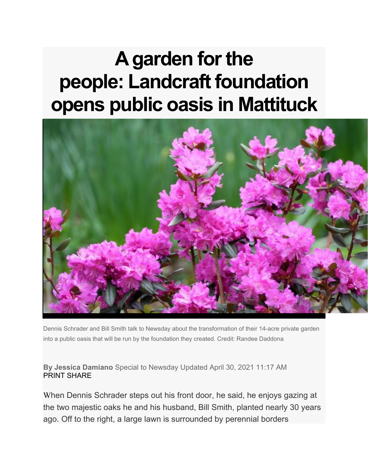# **A garden for the people: Landcraft foundation opens public oasis in Mattituck**



Dennis Schrader and Bill Smith talk to Newsday about the transformation of their 14-acre private garden into a public oasis that will be run by the foundation they created. Credit: Randee Daddona

**By Jessica Damiano** Special to Newsday Updated April 30, 2021 11:17 AM PRINT SHARE

When Dennis Schrader steps out his front door, he said, he enjoys gazing at the two majestic oaks he and his husband, Bill Smith, planted nearly 30 years ago. Off to the right, a large lawn is surrounded by perennial borders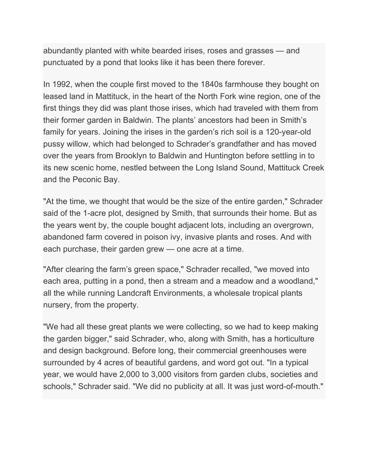abundantly planted with white bearded irises, roses and grasses — and punctuated by a pond that looks like it has been there forever.

In 1992, when the couple first moved to the 1840s farmhouse they bought on leased land in Mattituck, in the heart of the North Fork wine region, one of the first things they did was plant those irises, which had traveled with them from their former garden in Baldwin. The plants' ancestors had been in Smith's family for years. Joining the irises in the garden's rich soil is a 120-year-old pussy willow, which had belonged to Schrader's grandfather and has moved over the years from Brooklyn to Baldwin and Huntington before settling in to its new scenic home, nestled between the Long Island Sound, Mattituck Creek and the Peconic Bay.

"At the time, we thought that would be the size of the entire garden," Schrader said of the 1-acre plot, designed by Smith, that surrounds their home. But as the years went by, the couple bought adjacent lots, including an overgrown, abandoned farm covered in poison ivy, invasive plants and roses. And with each purchase, their garden grew — one acre at a time.

"After clearing the farm's green space," Schrader recalled, "we moved into each area, putting in a pond, then a stream and a meadow and a woodland," all the while running Landcraft Environments, a wholesale tropical plants nursery, from the property.

"We had all these great plants we were collecting, so we had to keep making the garden bigger," said Schrader, who, along with Smith, has a horticulture and design background. Before long, their commercial greenhouses were surrounded by 4 acres of beautiful gardens, and word got out. "In a typical year, we would have 2,000 to 3,000 visitors from garden clubs, societies and schools," Schrader said. "We did no publicity at all. It was just word-of-mouth."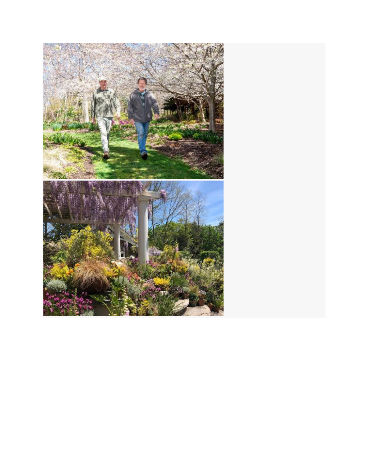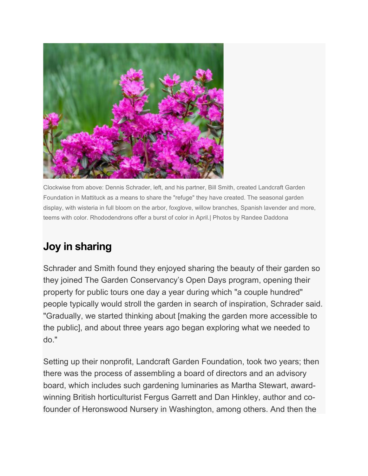

Clockwise from above: Dennis Schrader, left, and his partner, Bill Smith, created Landcraft Garden Foundation in Mattituck as a means to share the "refuge" they have created. The seasonal garden display, with wisteria in full bloom on the arbor, foxglove, willow branches, Spanish lavender and more, teems with color. Rhododendrons offer a burst of color in April.| Photos by Randee Daddona

### **Joy in sharing**

Schrader and Smith found they enjoyed sharing the beauty of their garden so they joined The Garden Conservancy's Open Days program, opening their property for public tours one day a year during which "a couple hundred" people typically would stroll the garden in search of inspiration, Schrader said. "Gradually, we started thinking about [making the garden more accessible to the public], and about three years ago began exploring what we needed to do."

Setting up their nonprofit, Landcraft Garden Foundation, took two years; then there was the process of assembling a board of directors and an advisory board, which includes such gardening luminaries as Martha Stewart, awardwinning British horticulturist Fergus Garrett and Dan Hinkley, author and cofounder of Heronswood Nursery in Washington, among others. And then the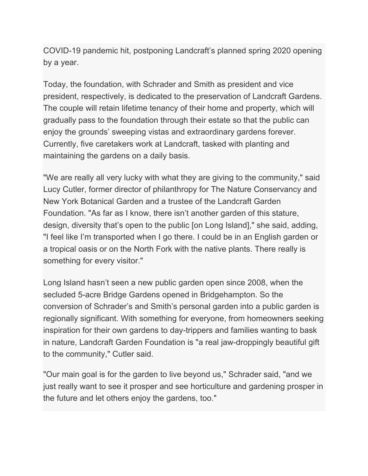COVID-19 pandemic hit, postponing Landcraft's planned spring 2020 opening by a year.

Today, the foundation, with Schrader and Smith as president and vice president, respectively, is dedicated to the preservation of Landcraft Gardens. The couple will retain lifetime tenancy of their home and property, which will gradually pass to the foundation through their estate so that the public can enjoy the grounds' sweeping vistas and extraordinary gardens forever. Currently, five caretakers work at Landcraft, tasked with planting and maintaining the gardens on a daily basis.

"We are really all very lucky with what they are giving to the community," said Lucy Cutler, former director of philanthropy for The Nature Conservancy and New York Botanical Garden and a trustee of the Landcraft Garden Foundation. "As far as I know, there isn't another garden of this stature, design, diversity that's open to the public [on Long Island]," she said, adding, "I feel like I'm transported when I go there. I could be in an English garden or a tropical oasis or on the North Fork with the native plants. There really is something for every visitor."

Long Island hasn't seen a new public garden open since 2008, when the secluded 5-acre Bridge Gardens opened in Bridgehampton. So the conversion of Schrader's and Smith's personal garden into a public garden is regionally significant. With something for everyone, from homeowners seeking inspiration for their own gardens to day-trippers and families wanting to bask in nature, Landcraft Garden Foundation is "a real jaw-droppingly beautiful gift to the community," Cutler said.

"Our main goal is for the garden to live beyond us," Schrader said, "and we just really want to see it prosper and see horticulture and gardening prosper in the future and let others enjoy the gardens, too."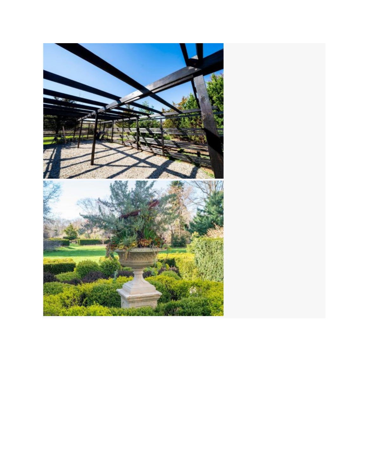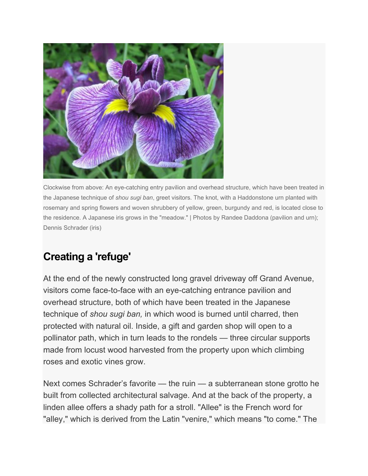

Clockwise from above: An eye-catching entry pavilion and overhead structure, which have been treated in the Japanese technique of *shou sugi ban*, greet visitors. The knot, with a Haddonstone urn planted with rosemary and spring flowers and woven shrubbery of yellow, green, burgundy and red, is located close to the residence. A Japanese iris grows in the "meadow." | Photos by Randee Daddona (pavilion and urn); Dennis Schrader (iris)

### **Creating a 'refuge'**

At the end of the newly constructed long gravel driveway off Grand Avenue, visitors come face-to-face with an eye-catching entrance pavilion and overhead structure, both of which have been treated in the Japanese technique of *shou sugi ban,* in which wood is burned until charred, then protected with natural oil. Inside, a gift and garden shop will open to a pollinator path, which in turn leads to the rondels — three circular supports made from locust wood harvested from the property upon which climbing roses and exotic vines grow.

Next comes Schrader's favorite — the ruin — a subterranean stone grotto he built from collected architectural salvage. And at the back of the property, a linden allee offers a shady path for a stroll. "Allee" is the French word for "alley," which is derived from the Latin "venire," which means "to come." The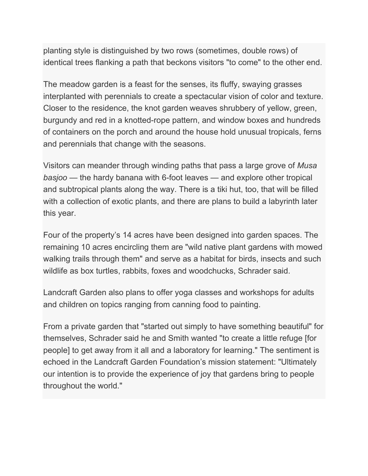planting style is distinguished by two rows (sometimes, double rows) of identical trees flanking a path that beckons visitors "to come" to the other end.

The meadow garden is a feast for the senses, its fluffy, swaying grasses interplanted with perennials to create a spectacular vision of color and texture. Closer to the residence, the knot garden weaves shrubbery of yellow, green, burgundy and red in a knotted-rope pattern, and window boxes and hundreds of containers on the porch and around the house hold unusual tropicals, ferns and perennials that change with the seasons.

Visitors can meander through winding paths that pass a large grove of *Musa basjoo* — the hardy banana with 6-foot leaves — and explore other tropical and subtropical plants along the way. There is a tiki hut, too, that will be filled with a collection of exotic plants, and there are plans to build a labyrinth later this year.

Four of the property's 14 acres have been designed into garden spaces. The remaining 10 acres encircling them are "wild native plant gardens with mowed walking trails through them" and serve as a habitat for birds, insects and such wildlife as box turtles, rabbits, foxes and woodchucks, Schrader said.

Landcraft Garden also plans to offer yoga classes and workshops for adults and children on topics ranging from canning food to painting.

From a private garden that "started out simply to have something beautiful" for themselves, Schrader said he and Smith wanted "to create a little refuge [for people] to get away from it all and a laboratory for learning." The sentiment is echoed in the Landcraft Garden Foundation's mission statement: "Ultimately our intention is to provide the experience of joy that gardens bring to people throughout the world."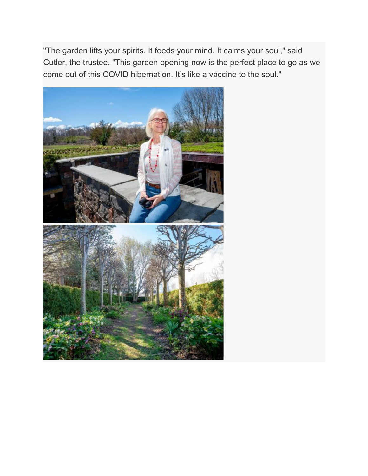"The garden lifts your spirits. It feeds your mind. It calms your soul," said Cutler, the trustee. "This garden opening now is the perfect place to go as we come out of this COVID hibernation. It's like a vaccine to the soul."

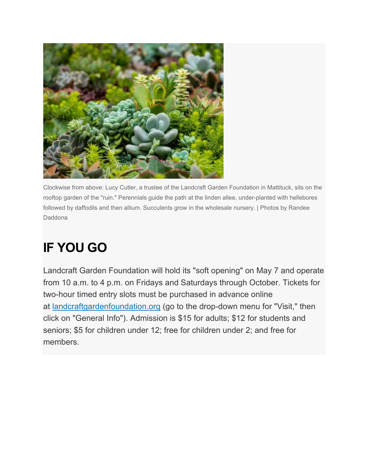

Clockwise from above: Lucy Cutler, a trustee of the Landcraft Garden Foundation in Mattituck, sits on the rooftop garden of the "ruin." Perennials guide the path at the linden allee, under-planted with hellebores followed by daffodils and then allium. Succulents grow in the wholesale nursery. | Photos by Randee Daddona

# **IF YOU GO**

Landcraft Garden Foundation will hold its "soft opening" on May 7 and operate from 10 a.m. to 4 p.m. on Fridays and Saturdays through October. Tickets for two-hour timed entry slots must be purchased in advance online at landcraftgardenfoundation.org (go to the drop-down menu for "Visit," then click on "General Info"). Admission is \$15 for adults; \$12 for students and seniors; \$5 for children under 12; free for children under 2; and free for members.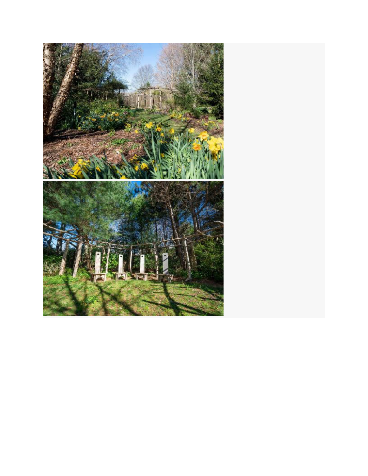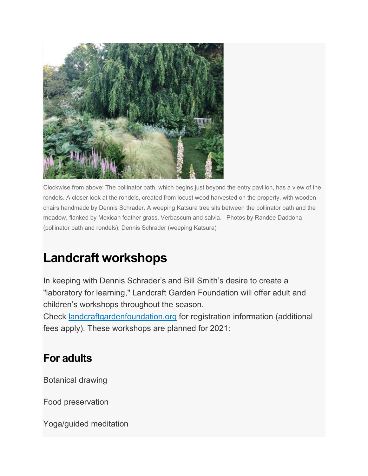

Clockwise from above: The pollinator path, which begins just beyond the entry pavilion, has a view of the rondels. A closer look at the rondels, created from locust wood harvested on the property, with wooden chairs handmade by Dennis Schrader. A weeping Katsura tree sits between the pollinator path and the meadow, flanked by Mexican feather grass, Verbascum and salvia. | Photos by Randee Daddona (pollinator path and rondels); Dennis Schrader (weeping Katsura)

## **Landcraft workshops**

In keeping with Dennis Schrader's and Bill Smith's desire to create a "laboratory for learning," Landcraft Garden Foundation will offer adult and children's workshops throughout the season.

Check landcraftgardenfoundation.org for registration information (additional fees apply). These workshops are planned for 2021:

#### **For adults**

Botanical drawing

Food preservation

Yoga/guided meditation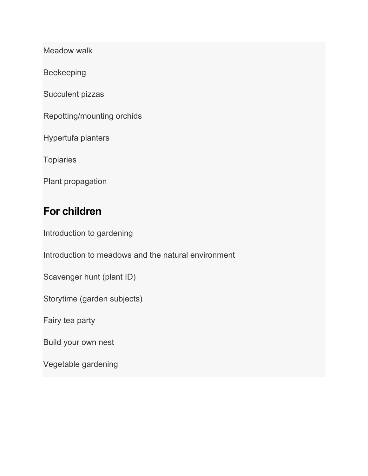Meadow walk

Beekeeping

Succulent pizzas

Repotting/mounting orchids

Hypertufa planters

**Topiaries** 

Plant propagation

#### **For children**

Introduction to gardening

Introduction to meadows and the natural environment

Scavenger hunt (plant ID)

Storytime (garden subjects)

Fairy tea party

Build your own nest

Vegetable gardening